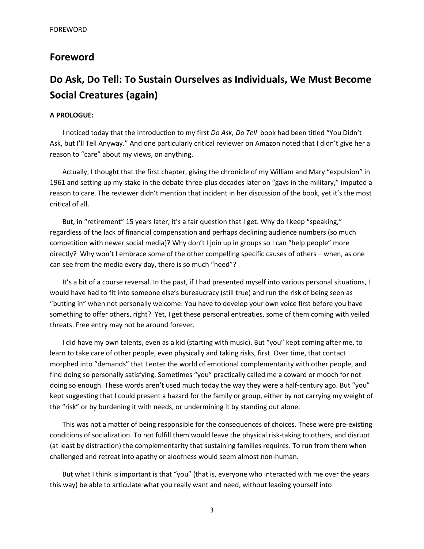## **Foreword**

# **Do Ask, Do Tell: To Sustain Ourselves as Individuals, We Must Become Social Creatures (again)**

## **A PROLOGUE:**

I noticed today that the Introduction to my first *Do Ask, Do Tell* book had been titled "You Didn't Ask, but I'll Tell Anyway." And one particularly critical reviewer on Amazon noted that I didn't give her a reason to "care" about my views, on anything.

Actually, I thought that the first chapter, giving the chronicle of my William and Mary "expulsion" in 1961 and setting up my stake in the debate three-plus decades later on "gays in the military," imputed a reason to care. The reviewer didn't mention that incident in her discussion of the book, yet it's the most critical of all.

But, in "retirement" 15 years later, it's a fair question that I get. Why do I keep "speaking," regardless of the lack of financial compensation and perhaps declining audience numbers (so much competition with newer social media)? Why don't I join up in groups so I can "help people" more directly? Why won't I embrace some of the other compelling specific causes of others – when, as one can see from the media every day, there is so much "need"?

It's a bit of a course reversal. In the past, if I had presented myself into various personal situations, I would have had to fit into someone else's bureaucracy (still true) and run the risk of being seen as "butting in" when not personally welcome. You have to develop your own voice first before you have something to offer others, right? Yet, I get these personal entreaties, some of them coming with veiled threats. Free entry may not be around forever.

I did have my own talents, even as a kid (starting with music). But "you" kept coming after me, to learn to take care of other people, even physically and taking risks, first. Over time, that contact morphed into "demands" that I enter the world of emotional complementarity with other people, and find doing so personally satisfying. Sometimes "you" practically called me a coward or mooch for not doing so enough. These words aren't used much today the way they were a half-century ago. But "you" kept suggesting that I could present a hazard for the family or group, either by not carrying my weight of the "risk" or by burdening it with needs, or undermining it by standing out alone.

This was not a matter of being responsible for the consequences of choices. These were pre-existing conditions of socialization. To not fulfill them would leave the physical risk-taking to others, and disrupt (at least by distraction) the complementarity that sustaining families requires. To run from them when challenged and retreat into apathy or aloofness would seem almost non-human.

But what I think is important is that "you" (that is, everyone who interacted with me over the years this way) be able to articulate what you really want and need, without leading yourself into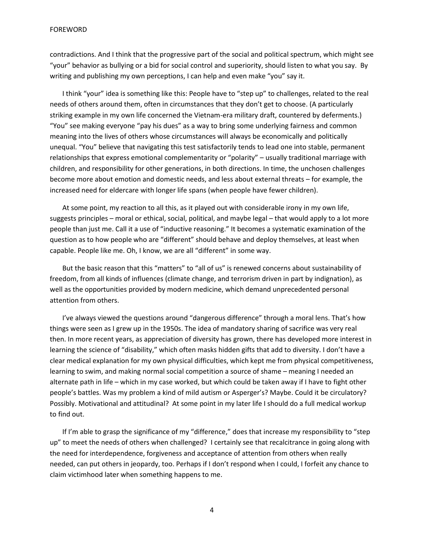contradictions. And I think that the progressive part of the social and political spectrum, which might see "your" behavior as bullying or a bid for social control and superiority, should listen to what you say. By writing and publishing my own perceptions, I can help and even make "you" say it.

I think "your" idea is something like this: People have to "step up" to challenges, related to the real needs of others around them, often in circumstances that they don't get to choose. (A particularly striking example in my own life concerned the Vietnam-era military draft, countered by deferments.) "You" see making everyone "pay his dues" as a way to bring some underlying fairness and common meaning into the lives of others whose circumstances will always be economically and politically unequal. "You" believe that navigating this test satisfactorily tends to lead one into stable, permanent relationships that express emotional complementarity or "polarity" – usually traditional marriage with children, and responsibility for other generations, in both directions. In time, the unchosen challenges become more about emotion and domestic needs, and less about external threats – for example, the increased need for eldercare with longer life spans (when people have fewer children).

At some point, my reaction to all this, as it played out with considerable irony in my own life, suggests principles – moral or ethical, social, political, and maybe legal – that would apply to a lot more people than just me. Call it a use of "inductive reasoning." It becomes a systematic examination of the question as to how people who are "different" should behave and deploy themselves, at least when capable. People like me. Oh, I know, we are all "different" in some way.

But the basic reason that this "matters" to "all of us" is renewed concerns about sustainability of freedom, from all kinds of influences (climate change, and terrorism driven in part by indignation), as well as the opportunities provided by modern medicine, which demand unprecedented personal attention from others.

I've always viewed the questions around "dangerous difference" through a moral lens. That's how things were seen as I grew up in the 1950s. The idea of mandatory sharing of sacrifice was very real then. In more recent years, as appreciation of diversity has grown, there has developed more interest in learning the science of "disability," which often masks hidden gifts that add to diversity. I don't have a clear medical explanation for my own physical difficulties, which kept me from physical competitiveness, learning to swim, and making normal social competition a source of shame – meaning I needed an alternate path in life – which in my case worked, but which could be taken away if I have to fight other people's battles. Was my problem a kind of mild autism or Asperger's? Maybe. Could it be circulatory? Possibly. Motivational and attitudinal? At some point in my later life I should do a full medical workup to find out.

If I'm able to grasp the significance of my "difference," does that increase my responsibility to "step up" to meet the needs of others when challenged? I certainly see that recalcitrance in going along with the need for interdependence, forgiveness and acceptance of attention from others when really needed, can put others in jeopardy, too. Perhaps if I don't respond when I could, I forfeit any chance to claim victimhood later when something happens to me.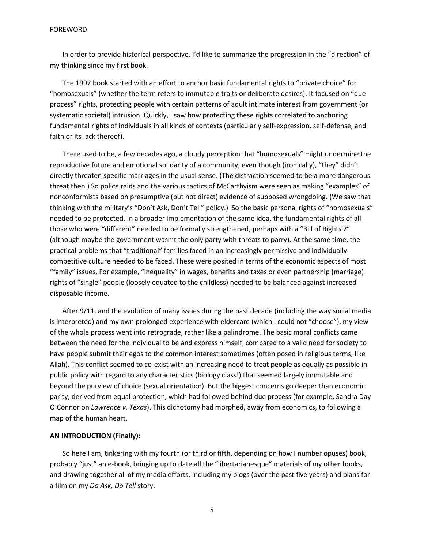In order to provide historical perspective, I'd like to summarize the progression in the "direction" of my thinking since my first book.

The 1997 book started with an effort to anchor basic fundamental rights to "private choice" for "homosexuals" (whether the term refers to immutable traits or deliberate desires). It focused on "due process" rights, protecting people with certain patterns of adult intimate interest from government (or systematic societal) intrusion. Quickly, I saw how protecting these rights correlated to anchoring fundamental rights of individuals in all kinds of contexts (particularly self-expression, self-defense, and faith or its lack thereof).

There used to be, a few decades ago, a cloudy perception that "homosexuals" might undermine the reproductive future and emotional solidarity of a community, even though (ironically), "they" didn't directly threaten specific marriages in the usual sense. (The distraction seemed to be a more dangerous threat then.) So police raids and the various tactics of McCarthyism were seen as making "examples" of nonconformists based on presumptive (but not direct) evidence of supposed wrongdoing. (We saw that thinking with the military's "Don't Ask, Don't Tell" policy.) So the basic personal rights of "homosexuals" needed to be protected. In a broader implementation of the same idea, the fundamental rights of all those who were "different" needed to be formally strengthened, perhaps with a "Bill of Rights 2" (although maybe the government wasn't the only party with threats to parry). At the same time, the practical problems that "traditional" families faced in an increasingly permissive and individually competitive culture needed to be faced. These were posited in terms of the economic aspects of most "family" issues. For example, "inequality" in wages, benefits and taxes or even partnership (marriage) rights of "single" people (loosely equated to the childless) needed to be balanced against increased disposable income.

After 9/11, and the evolution of many issues during the past decade (including the way social media is interpreted) and my own prolonged experience with eldercare (which I could not "choose"), my view of the whole process went into retrograde, rather like a palindrome. The basic moral conflicts came between the need for the individual to be and express himself, compared to a valid need for society to have people submit their egos to the common interest sometimes (often posed in religious terms, like Allah). This conflict seemed to co-exist with an increasing need to treat people as equally as possible in public policy with regard to any characteristics (biology class!) that seemed largely immutable and beyond the purview of choice (sexual orientation). But the biggest concerns go deeper than economic parity, derived from equal protection, which had followed behind due process (for example, Sandra Day O'Connor on *Lawrence v. Texas*). This dichotomy had morphed, away from economics, to following a map of the human heart.

### **AN INTRODUCTION (Finally):**

So here I am, tinkering with my fourth (or third or fifth, depending on how I number opuses) book, probably "just" an e-book, bringing up to date all the "libertarianesque" materials of my other books, and drawing together all of my media efforts, including my blogs (over the past five years) and plans for a film on my *Do Ask, Do Tell* story.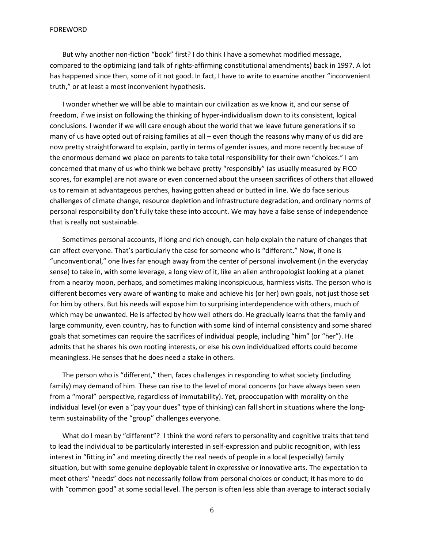But why another non-fiction "book" first? I do think I have a somewhat modified message, compared to the optimizing (and talk of rights-affirming constitutional amendments) back in 1997. A lot has happened since then, some of it not good. In fact, I have to write to examine another "inconvenient truth," or at least a most inconvenient hypothesis.

I wonder whether we will be able to maintain our civilization as we know it, and our sense of freedom, if we insist on following the thinking of hyper-individualism down to its consistent, logical conclusions. I wonder if we will care enough about the world that we leave future generations if so many of us have opted out of raising families at all – even though the reasons why many of us did are now pretty straightforward to explain, partly in terms of gender issues, and more recently because of the enormous demand we place on parents to take total responsibility for their own "choices." I am concerned that many of us who think we behave pretty "responsibly" (as usually measured by FICO scores, for example) are not aware or even concerned about the unseen sacrifices of others that allowed us to remain at advantageous perches, having gotten ahead or butted in line. We do face serious challenges of climate change, resource depletion and infrastructure degradation, and ordinary norms of personal responsibility don't fully take these into account. We may have a false sense of independence that is really not sustainable.

Sometimes personal accounts, if long and rich enough, can help explain the nature of changes that can affect everyone. That's particularly the case for someone who is "different." Now, if one is "unconventional," one lives far enough away from the center of personal involvement (in the everyday sense) to take in, with some leverage, a long view of it, like an alien anthropologist looking at a planet from a nearby moon, perhaps, and sometimes making inconspicuous, harmless visits. The person who is different becomes very aware of wanting to make and achieve his (or her) own goals, not just those set for him by others. But his needs will expose him to surprising interdependence with others, much of which may be unwanted. He is affected by how well others do. He gradually learns that the family and large community, even country, has to function with some kind of internal consistency and some shared goals that sometimes can require the sacrifices of individual people, including "him" (or "her"). He admits that he shares his own rooting interests, or else his own individualized efforts could become meaningless. He senses that he does need a stake in others.

The person who is "different," then, faces challenges in responding to what society (including family) may demand of him. These can rise to the level of moral concerns (or have always been seen from a "moral" perspective, regardless of immutability). Yet, preoccupation with morality on the individual level (or even a "pay your dues" type of thinking) can fall short in situations where the longterm sustainability of the "group" challenges everyone.

What do I mean by "different"? I think the word refers to personality and cognitive traits that tend to lead the individual to be particularly interested in self-expression and public recognition, with less interest in "fitting in" and meeting directly the real needs of people in a local (especially) family situation, but with some genuine deployable talent in expressive or innovative arts. The expectation to meet others' "needs" does not necessarily follow from personal choices or conduct; it has more to do with "common good" at some social level. The person is often less able than average to interact socially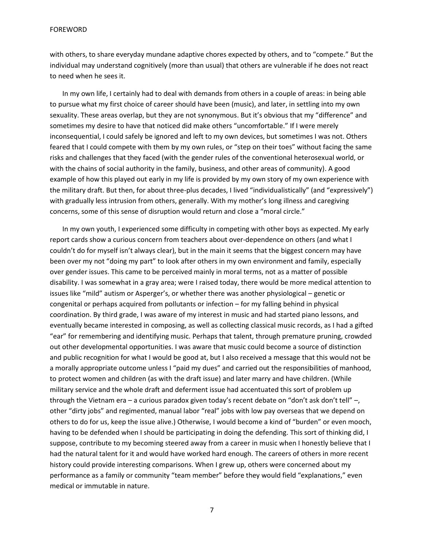with others, to share everyday mundane adaptive chores expected by others, and to "compete." But the individual may understand cognitively (more than usual) that others are vulnerable if he does not react to need when he sees it.

In my own life, I certainly had to deal with demands from others in a couple of areas: in being able to pursue what my first choice of career should have been (music), and later, in settling into my own sexuality. These areas overlap, but they are not synonymous. But it's obvious that my "difference" and sometimes my desire to have that noticed did make others "uncomfortable." If I were merely inconsequential, I could safely be ignored and left to my own devices, but sometimes I was not. Others feared that I could compete with them by my own rules, or "step on their toes" without facing the same risks and challenges that they faced (with the gender rules of the conventional heterosexual world, or with the chains of social authority in the family, business, and other areas of community). A good example of how this played out early in my life is provided by my own story of my own experience with the military draft. But then, for about three-plus decades, I lived "individualistically" (and "expressively") with gradually less intrusion from others, generally. With my mother's long illness and caregiving concerns, some of this sense of disruption would return and close a "moral circle."

In my own youth, I experienced some difficulty in competing with other boys as expected. My early report cards show a curious concern from teachers about over-dependence on others (and what I couldn't do for myself isn't always clear), but in the main it seems that the biggest concern may have been over my not "doing my part" to look after others in my own environment and family, especially over gender issues. This came to be perceived mainly in moral terms, not as a matter of possible disability. I was somewhat in a gray area; were I raised today, there would be more medical attention to issues like "mild" autism or Asperger's, or whether there was another physiological – genetic or congenital or perhaps acquired from pollutants or infection – for my falling behind in physical coordination. By third grade, I was aware of my interest in music and had started piano lessons, and eventually became interested in composing, as well as collecting classical music records, as I had a gifted "ear" for remembering and identifying music. Perhaps that talent, through premature pruning, crowded out other developmental opportunities. I was aware that music could become a source of distinction and public recognition for what I would be good at, but I also received a message that this would not be a morally appropriate outcome unless I "paid my dues" and carried out the responsibilities of manhood, to protect women and children (as with the draft issue) and later marry and have children. (While military service and the whole draft and deferment issue had accentuated this sort of problem up through the Vietnam era – a curious paradox given today's recent debate on "don't ask don't tell" –, other "dirty jobs" and regimented, manual labor "real" jobs with low pay overseas that we depend on others to do for us, keep the issue alive.) Otherwise, I would become a kind of "burden" or even mooch, having to be defended when I should be participating in doing the defending. This sort of thinking did, I suppose, contribute to my becoming steered away from a career in music when I honestly believe that I had the natural talent for it and would have worked hard enough. The careers of others in more recent history could provide interesting comparisons. When I grew up, others were concerned about my performance as a family or community "team member" before they would field "explanations," even medical or immutable in nature.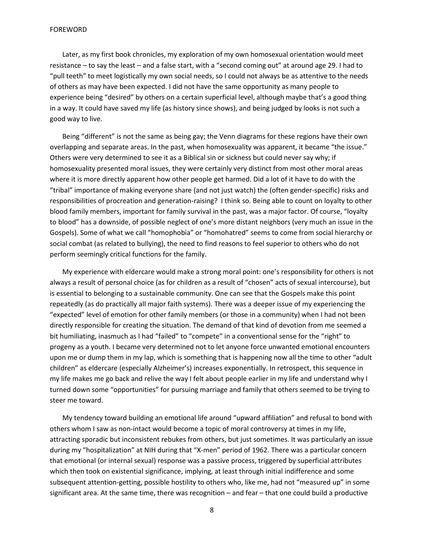Later, as my first book chronicles, my exploration of my own homosexual orientation would meet resistance – to say the least – and a false start, with a "second coming out" at around age 29. I had to "pull teeth" to meet logistically my own social needs, so I could not always be as attentive to the needs of others as may have been expected. I did not have the same opportunity as many people to experience being "desired" by others on a certain superficial level, although maybe that's a good thing in a way. It could have saved my life (as history since shows), and being judged by looks is not such a good way to live.

Being "different" is not the same as being gay; the Venn diagrams for these regions have their own overlapping and separate areas. In the past, when homosexuality was apparent, it became "the issue." Others were very determined to see it as a Biblical sin or sickness but could never say why; if homosexuality presented moral issues, they were certainly very distinct from most other moral areas where it is more directly apparent how other people get harmed. Did a lot of it have to do with the "tribal" importance of making everyone share (and not just watch) the (often gender-specific) risks and responsibilities of procreation and generation-raising? I think so. Being able to count on loyalty to other blood family members, important for family survival in the past, was a major factor. Of course, "loyalty to blood" has a downside, of possible neglect of one's more distant neighbors (very much an issue in the Gospels). Some of what we call "homophobia" or "homohatred" seems to come from social hierarchy or social combat (as related to bullying), the need to find reasons to feel superior to others who do not perform seemingly critical functions for the family.

My experience with eldercare would make a strong moral point: one's responsibility for others is not always a result of personal choice (as for children as a result of "chosen" acts of sexual intercourse), but is essential to belonging to a sustainable community. One can see that the Gospels make this point repeatedly (as do practically all major faith systems). There was a deeper issue of my experiencing the "expected" level of emotion for other family members (or those in a community) when I had not been directly responsible for creating the situation. The demand of that kind of devotion from me seemed a bit humiliating, inasmuch as I had "failed" to "compete" in a conventional sense for the "right" to progeny as a youth. I became very determined not to let anyone force unwanted emotional encounters upon me or dump them in my lap, which is something that is happening now all the time to other "adult children" as eldercare (especially Alzheimer's) increases exponentially. In retrospect, this sequence in my life makes me go back and relive the way I felt about people earlier in my life and understand why I turned down some "opportunities" for pursuing marriage and family that others seemed to be trying to steer me toward.

My tendency toward building an emotional life around "upward affiliation" and refusal to bond with others whom I saw as non-intact would become a topic of moral controversy at times in my life, attracting sporadic but inconsistent rebukes from others, but just sometimes. It was particularly an issue during my "hospitalization" at NIH during that "X-men" period of 1962. There was a particular concern that emotional (or internal sexual) response was a passive process, triggered by superficial attributes which then took on existential significance, implying, at least through initial indifference and some subsequent attention-getting, possible hostility to others who, like me, had not "measured up" in some significant area. At the same time, there was recognition – and fear – that one could build a productive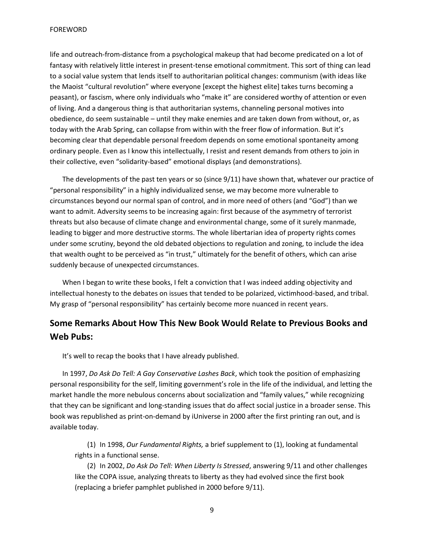life and outreach-from-distance from a psychological makeup that had become predicated on a lot of fantasy with relatively little interest in present-tense emotional commitment. This sort of thing can lead to a social value system that lends itself to authoritarian political changes: communism (with ideas like the Maoist "cultural revolution" where everyone [except the highest elite] takes turns becoming a peasant), or fascism, where only individuals who "make it" are considered worthy of attention or even of living. And a dangerous thing is that authoritarian systems, channeling personal motives into obedience, do seem sustainable – until they make enemies and are taken down from without, or, as today with the Arab Spring, can collapse from within with the freer flow of information. But it's becoming clear that dependable personal freedom depends on some emotional spontaneity among ordinary people. Even as I know this intellectually, I resist and resent demands from others to join in their collective, even "solidarity-based" emotional displays (and demonstrations).

The developments of the past ten years or so (since 9/11) have shown that, whatever our practice of "personal responsibility" in a highly individualized sense, we may become more vulnerable to circumstances beyond our normal span of control, and in more need of others (and "God") than we want to admit. Adversity seems to be increasing again: first because of the asymmetry of terrorist threats but also because of climate change and environmental change, some of it surely manmade, leading to bigger and more destructive storms. The whole libertarian idea of property rights comes under some scrutiny, beyond the old debated objections to regulation and zoning, to include the idea that wealth ought to be perceived as "in trust," ultimately for the benefit of others, which can arise suddenly because of unexpected circumstances.

When I began to write these books, I felt a conviction that I was indeed adding objectivity and intellectual honesty to the debates on issues that tended to be polarized, victimhood-based, and tribal. My grasp of "personal responsibility" has certainly become more nuanced in recent years.

# **Some Remarks About How This New Book Would Relate to Previous Books and Web Pubs:**

It's well to recap the books that I have already published.

In 1997, *Do Ask Do Tell: A Gay Conservative Lashes Back*, which took the position of emphasizing personal responsibility for the self, limiting government's role in the life of the individual, and letting the market handle the more nebulous concerns about socialization and "family values," while recognizing that they can be significant and long-standing issues that do affect social justice in a broader sense. This book was republished as print-on-demand by iUniverse in 2000 after the first printing ran out, and is available today.

(1) In 1998, *Our Fundamental Rights,* a brief supplement to (1), looking at fundamental rights in a functional sense.

(2) In 2002, *Do Ask Do Tell: When Liberty Is Stressed*, answering 9/11 and other challenges like the COPA issue, analyzing threats to liberty as they had evolved since the first book (replacing a briefer pamphlet published in 2000 before 9/11).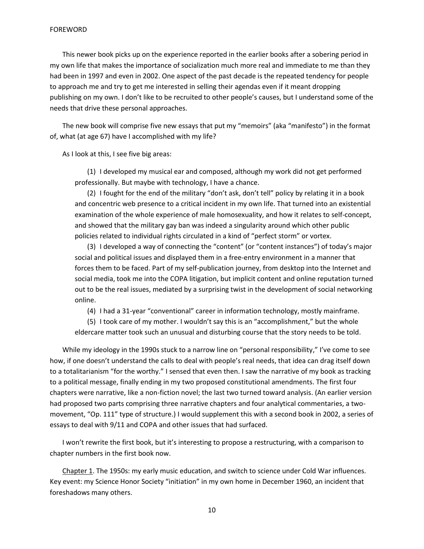This newer book picks up on the experience reported in the earlier books after a sobering period in my own life that makes the importance of socialization much more real and immediate to me than they had been in 1997 and even in 2002. One aspect of the past decade is the repeated tendency for people to approach me and try to get me interested in selling their agendas even if it meant dropping publishing on my own. I don't like to be recruited to other people's causes, but I understand some of the needs that drive these personal approaches.

The new book will comprise five new essays that put my "memoirs" (aka "manifesto") in the format of, what (at age 67) have I accomplished with my life?

As I look at this, I see five big areas:

(1) I developed my musical ear and composed, although my work did not get performed professionally. But maybe with technology, I have a chance.

(2) I fought for the end of the military "don't ask, don't tell" policy by relating it in a book and concentric web presence to a critical incident in my own life. That turned into an existential examination of the whole experience of male homosexuality, and how it relates to self-concept, and showed that the military gay ban was indeed a singularity around which other public policies related to individual rights circulated in a kind of "perfect storm" or vortex.

(3) I developed a way of connecting the "content" (or "content instances") of today's major social and political issues and displayed them in a free-entry environment in a manner that forces them to be faced. Part of my self-publication journey, from desktop into the Internet and social media, took me into the COPA litigation, but implicit content and online reputation turned out to be the real issues, mediated by a surprising twist in the development of social networking online.

(4) I had a 31-year "conventional" career in information technology, mostly mainframe.

(5) I took care of my mother. I wouldn't say this is an "accomplishment," but the whole eldercare matter took such an unusual and disturbing course that the story needs to be told.

While my ideology in the 1990s stuck to a narrow line on "personal responsibility," I've come to see how, if one doesn't understand the calls to deal with people's real needs, that idea can drag itself down to a totalitarianism "for the worthy." I sensed that even then. I saw the narrative of my book as tracking to a political message, finally ending in my two proposed constitutional amendments. The first four chapters were narrative, like a non-fiction novel; the last two turned toward analysis. (An earlier version had proposed two parts comprising three narrative chapters and four analytical commentaries, a twomovement, "Op. 111" type of structure.) I would supplement this with a second book in 2002, a series of essays to deal with 9/11 and COPA and other issues that had surfaced.

I won't rewrite the first book, but it's interesting to propose a restructuring, with a comparison to chapter numbers in the first book now.

Chapter 1. The 1950s: my early music education, and switch to science under Cold War influences. Key event: my Science Honor Society "initiation" in my own home in December 1960, an incident that foreshadows many others.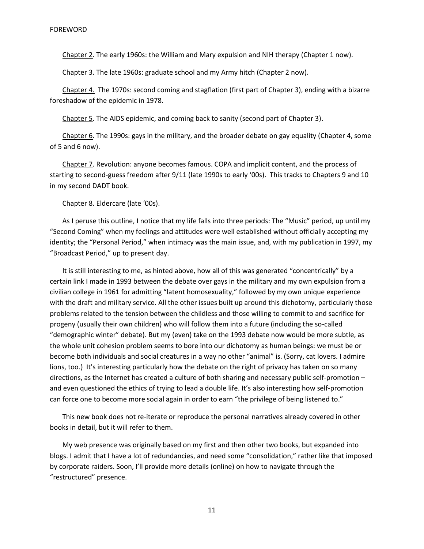Chapter 2. The early 1960s: the William and Mary expulsion and NIH therapy (Chapter 1 now).

Chapter 3. The late 1960s: graduate school and my Army hitch (Chapter 2 now).

Chapter 4. The 1970s: second coming and stagflation (first part of Chapter 3), ending with a bizarre foreshadow of the epidemic in 1978.

Chapter 5. The AIDS epidemic, and coming back to sanity (second part of Chapter 3).

Chapter 6. The 1990s: gays in the military, and the broader debate on gay equality (Chapter 4, some of 5 and 6 now).

Chapter 7. Revolution: anyone becomes famous. COPA and implicit content, and the process of starting to second-guess freedom after 9/11 (late 1990s to early '00s). This tracks to Chapters 9 and 10 in my second DADT book.

Chapter 8. Eldercare (late '00s).

As I peruse this outline, I notice that my life falls into three periods: The "Music" period, up until my "Second Coming" when my feelings and attitudes were well established without officially accepting my identity; the "Personal Period," when intimacy was the main issue, and, with my publication in 1997, my "Broadcast Period," up to present day.

It is still interesting to me, as hinted above, how all of this was generated "concentrically" by a certain link I made in 1993 between the debate over gays in the military and my own expulsion from a civilian college in 1961 for admitting "latent homosexuality," followed by my own unique experience with the draft and military service. All the other issues built up around this dichotomy, particularly those problems related to the tension between the childless and those willing to commit to and sacrifice for progeny (usually their own children) who will follow them into a future (including the so-called "demographic winter" debate). But my (even) take on the 1993 debate now would be more subtle, as the whole unit cohesion problem seems to bore into our dichotomy as human beings: we must be or become both individuals and social creatures in a way no other "animal" is. (Sorry, cat lovers. I admire lions, too.) It's interesting particularly how the debate on the right of privacy has taken on so many directions, as the Internet has created a culture of both sharing and necessary public self-promotion – and even questioned the ethics of trying to lead a double life. It's also interesting how self-promotion can force one to become more social again in order to earn "the privilege of being listened to."

This new book does not re-iterate or reproduce the personal narratives already covered in other books in detail, but it will refer to them.

My web presence was originally based on my first and then other two books, but expanded into blogs. I admit that I have a lot of redundancies, and need some "consolidation," rather like that imposed by corporate raiders. Soon, I'll provide more details (online) on how to navigate through the "restructured" presence.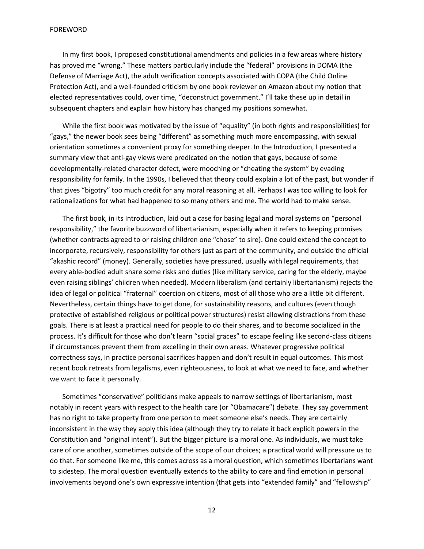In my first book, I proposed constitutional amendments and policies in a few areas where history has proved me "wrong." These matters particularly include the "federal" provisions in DOMA (the Defense of Marriage Act), the adult verification concepts associated with COPA (the Child Online Protection Act), and a well-founded criticism by one book reviewer on Amazon about my notion that elected representatives could, over time, "deconstruct government." I'll take these up in detail in subsequent chapters and explain how history has changed my positions somewhat.

While the first book was motivated by the issue of "equality" (in both rights and responsibilities) for "gays," the newer book sees being "different" as something much more encompassing, with sexual orientation sometimes a convenient proxy for something deeper. In the Introduction, I presented a summary view that anti-gay views were predicated on the notion that gays, because of some developmentally-related character defect, were mooching or "cheating the system" by evading responsibility for family. In the 1990s, I believed that theory could explain a lot of the past, but wonder if that gives "bigotry" too much credit for any moral reasoning at all. Perhaps I was too willing to look for rationalizations for what had happened to so many others and me. The world had to make sense.

The first book, in its Introduction, laid out a case for basing legal and moral systems on "personal responsibility," the favorite buzzword of libertarianism, especially when it refers to keeping promises (whether contracts agreed to or raising children one "chose" to sire). One could extend the concept to incorporate, recursively, responsibility for others just as part of the community, and outside the official "akashic record" (money). Generally, societies have pressured, usually with legal requirements, that every able-bodied adult share some risks and duties (like military service, caring for the elderly, maybe even raising siblings' children when needed). Modern liberalism (and certainly libertarianism) rejects the idea of legal or political "fraternal" coercion on citizens, most of all those who are a little bit different. Nevertheless, certain things have to get done, for sustainability reasons, and cultures (even though protective of established religious or political power structures) resist allowing distractions from these goals. There is at least a practical need for people to do their shares, and to become socialized in the process. It's difficult for those who don't learn "social graces" to escape feeling like second-class citizens if circumstances prevent them from excelling in their own areas. Whatever progressive political correctness says, in practice personal sacrifices happen and don't result in equal outcomes. This most recent book retreats from legalisms, even righteousness, to look at what we need to face, and whether we want to face it personally.

Sometimes "conservative" politicians make appeals to narrow settings of libertarianism, most notably in recent years with respect to the health care (or "Obamacare") debate. They say government has no right to take property from one person to meet someone else's needs. They are certainly inconsistent in the way they apply this idea (although they try to relate it back explicit powers in the Constitution and "original intent"). But the bigger picture is a moral one. As individuals, we must take care of one another, sometimes outside of the scope of our choices; a practical world will pressure us to do that. For someone like me, this comes across as a moral question, which sometimes libertarians want to sidestep. The moral question eventually extends to the ability to care and find emotion in personal involvements beyond one's own expressive intention (that gets into "extended family" and "fellowship"